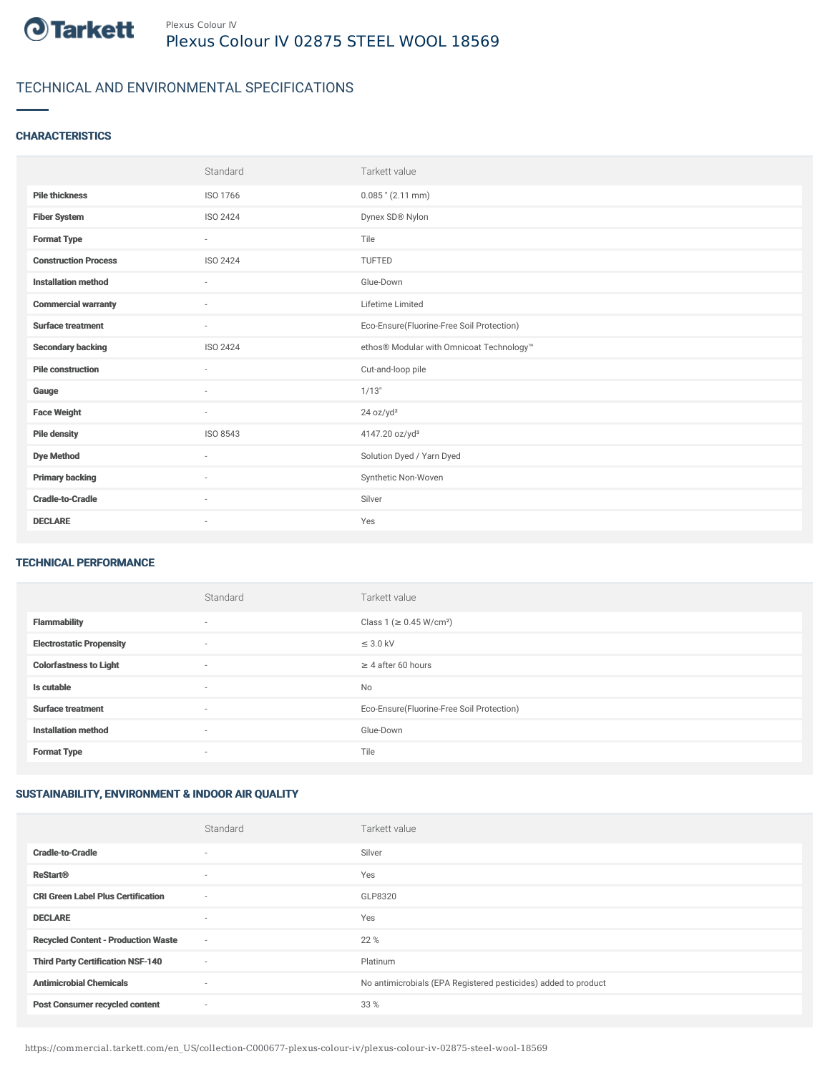

# TECHNICAL AND ENVIRONMENTAL SPECIFICATIONS

### **CHARACTERISTICS**

|                             | Standard                 | Tarkett value                             |
|-----------------------------|--------------------------|-------------------------------------------|
| <b>Pile thickness</b>       | ISO 1766                 | $0.085$ " (2.11 mm)                       |
| <b>Fiber System</b>         | ISO 2424                 | Dynex SD® Nylon                           |
| <b>Format Type</b>          | $\sim$                   | Tile                                      |
| <b>Construction Process</b> | ISO 2424                 | TUFTED                                    |
| <b>Installation method</b>  | $\overline{\phantom{a}}$ | Glue-Down                                 |
| <b>Commercial warranty</b>  | $\sim$                   | Lifetime Limited                          |
| <b>Surface treatment</b>    | $\sim$                   | Eco-Ensure(Fluorine-Free Soil Protection) |
| <b>Secondary backing</b>    | ISO 2424                 | ethos® Modular with Omnicoat Technology™  |
| <b>Pile construction</b>    | $\overline{\phantom{a}}$ | Cut-and-loop pile                         |
| Gauge                       | ٠                        | 1/13"                                     |
| <b>Face Weight</b>          | $\overline{\phantom{a}}$ | 24 oz/yd <sup>2</sup>                     |
| <b>Pile density</b>         | ISO 8543                 | 4147.20 oz/yd <sup>3</sup>                |
| <b>Dye Method</b>           | ٠                        | Solution Dyed / Yarn Dyed                 |
| <b>Primary backing</b>      | $\overline{\phantom{a}}$ | Synthetic Non-Woven                       |
| <b>Cradle-to-Cradle</b>     | $\sim$                   | Silver                                    |
| <b>DECLARE</b>              | ٠                        | Yes                                       |

#### TECHNICAL PERFORMANCE

|                                 | Standard | Tarkett value                             |
|---------------------------------|----------|-------------------------------------------|
| <b>Flammability</b>             | $\sim$   | Class 1 (≥ 0.45 W/cm <sup>2</sup> )       |
| <b>Electrostatic Propensity</b> | ٠        | $\leq$ 3.0 kV                             |
| <b>Colorfastness to Light</b>   | $\sim$   | $\geq 4$ after 60 hours                   |
| Is cutable                      | ٠        | No                                        |
| <b>Surface treatment</b>        | ٠        | Eco-Ensure(Fluorine-Free Soil Protection) |
| <b>Installation method</b>      | $\sim$   | Glue-Down                                 |
| <b>Format Type</b>              | ٠        | Tile                                      |

## SUSTAINABILITY, ENVIRONMENT & INDOOR AIR QUALITY

|                                            | Standard                 | Tarkett value                                                  |
|--------------------------------------------|--------------------------|----------------------------------------------------------------|
| <b>Cradle-to-Cradle</b>                    | $\overline{\phantom{a}}$ | Silver                                                         |
| <b>ReStart®</b>                            | $\overline{\phantom{a}}$ | Yes                                                            |
| <b>CRI Green Label Plus Certification</b>  | $\sim$                   | GLP8320                                                        |
| <b>DECLARE</b>                             | $\overline{\phantom{a}}$ | Yes                                                            |
| <b>Recycled Content - Production Waste</b> | $\sim$                   | 22 %                                                           |
| <b>Third Party Certification NSF-140</b>   | $\sim$                   | Platinum                                                       |
| <b>Antimicrobial Chemicals</b>             | $\overline{\phantom{a}}$ | No antimicrobials (EPA Registered pesticides) added to product |
| <b>Post Consumer recycled content</b>      | ٠                        | 33 %                                                           |